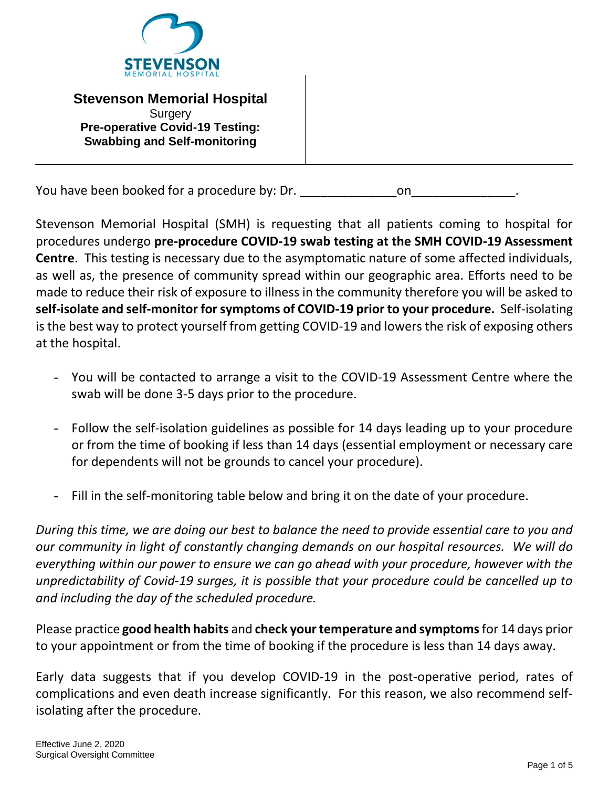

**Stevenson Memorial Hospital Surgery Pre-operative Covid-19 Testing: Swabbing and Self-monitoring** 

You have been booked for a procedure by: Dr.

Stevenson Memorial Hospital (SMH) is requesting that all patients coming to hospital for procedures undergo **pre-procedure COVID-19 swab testing at the SMH COVID-19 Assessment Centre**. This testing is necessary due to the asymptomatic nature of some affected individuals, as well as, the presence of community spread within our geographic area. Efforts need to be made to reduce their risk of exposure to illness in the community therefore you will be asked to **self-isolate and self-monitor for symptoms of COVID-19 prior to your procedure.** Self-isolating is the best way to protect yourself from getting COVID-19 and lowers the risk of exposing others at the hospital.

- You will be contacted to arrange a visit to the COVID-19 Assessment Centre where the swab will be done 3-5 days prior to the procedure.
- Follow the self-isolation guidelines as possible for 14 days leading up to your procedure or from the time of booking if less than 14 days (essential employment or necessary care for dependents will not be grounds to cancel your procedure).
- Fill in the self-monitoring table below and bring it on the date of your procedure.

*During this time, we are doing our best to balance the need to provide essential care to you and our community in light of constantly changing demands on our hospital resources. We will do everything within our power to ensure we can go ahead with your procedure, however with the unpredictability of Covid-19 surges, it is possible that your procedure could be cancelled up to and including the day of the scheduled procedure.*

Please practice **good health habits** and **check your temperature and symptoms**for 14 days prior to your appointment or from the time of booking if the procedure is less than 14 days away.

Early data suggests that if you develop COVID-19 in the post-operative period, rates of complications and even death increase significantly. For this reason, we also recommend selfisolating after the procedure.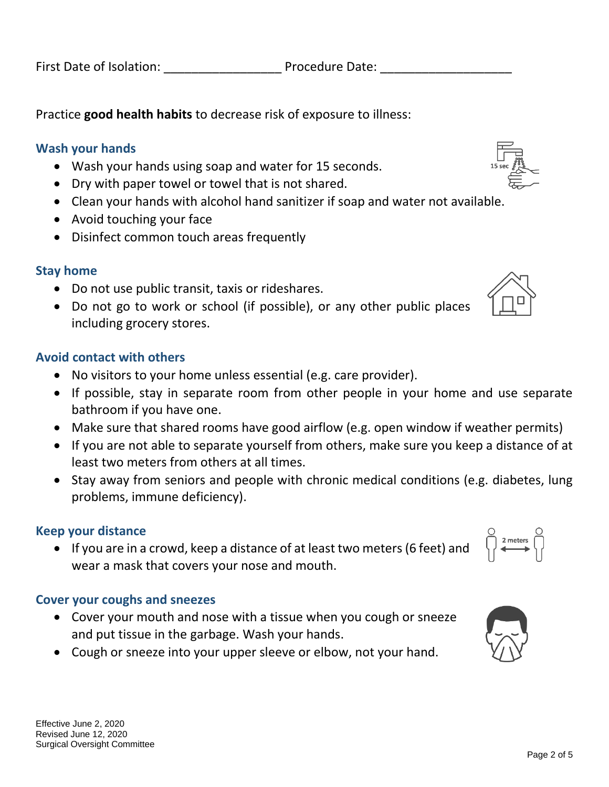First Date of Isolation: The Procedure Date:

Practice **good health habits** to decrease risk of exposure to illness:

#### **Wash your hands**

- Wash your hands using soap and water for 15 seconds.
- Dry with paper towel or towel that is not shared.
- Clean your hands with alcohol hand sanitizer if soap and water not available.
- Avoid touching your face
- Disinfect common touch areas frequently

### **Stay home**

- Do not use public transit, taxis or rideshares.
- Do not go to work or school (if possible), or any other public places including grocery stores.

#### **Avoid contact with others**

- No visitors to your home unless essential (e.g. care provider).
- If possible, stay in separate room from other people in your home and use separate bathroom if you have one.
- Make sure that shared rooms have good airflow (e.g. open window if weather permits)
- If you are not able to separate yourself from others, make sure you keep a distance of at least two meters from others at all times.
- Stay away from seniors and people with chronic medical conditions (e.g. diabetes, lung problems, immune deficiency).

### **Keep your distance**

 If you are in a crowd, keep a distance of at least two meters (6 feet) and wear a mask that covers your nose and mouth.

### **Cover your coughs and sneezes**

- Cover your mouth and nose with a tissue when you cough or sneeze and put tissue in the garbage. Wash your hands.
- Cough or sneeze into your upper sleeve or elbow, not your hand.





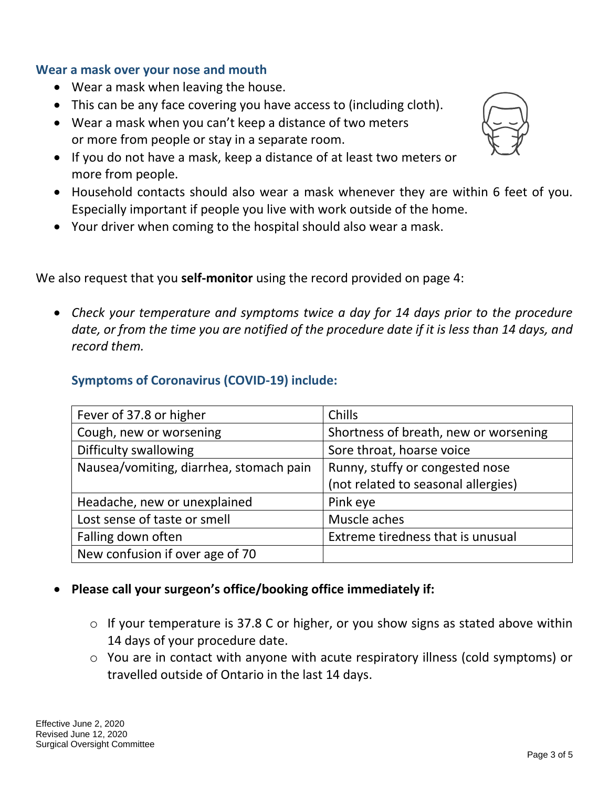### **Wear a mask over your nose and mouth**

- Wear a mask when leaving the house.
- This can be any face covering you have access to (including cloth).
- Wear a mask when you can't keep a distance of two meters or more from people or stay in a separate room.
- If you do not have a mask, keep a distance of at least two meters or more from people.
- Household contacts should also wear a mask whenever they are within 6 feet of you. Especially important if people you live with work outside of the home.
- Your driver when coming to the hospital should also wear a mask.

We also request that you **self-monitor** using the record provided on page 4:

 *Check your temperature and symptoms twice a day for 14 days prior to the procedure date, or from the time you are notified of the procedure date if it is less than 14 days, and record them.*

# **Symptoms of Coronavirus (COVID-19) include:**

| Fever of 37.8 or higher                 | Chills                                |  |
|-----------------------------------------|---------------------------------------|--|
| Cough, new or worsening                 | Shortness of breath, new or worsening |  |
| Difficulty swallowing                   | Sore throat, hoarse voice             |  |
| Nausea/vomiting, diarrhea, stomach pain | Runny, stuffy or congested nose       |  |
|                                         | (not related to seasonal allergies)   |  |
| Headache, new or unexplained            | Pink eye                              |  |
| Lost sense of taste or smell            | Muscle aches                          |  |
| Falling down often                      | Extreme tiredness that is unusual     |  |
| New confusion if over age of 70         |                                       |  |

### **Please call your surgeon's office/booking office immediately if:**

- o If your temperature is 37.8 C or higher, or you show signs as stated above within 14 days of your procedure date.
- o You are in contact with anyone with acute respiratory illness (cold symptoms) or travelled outside of Ontario in the last 14 days.

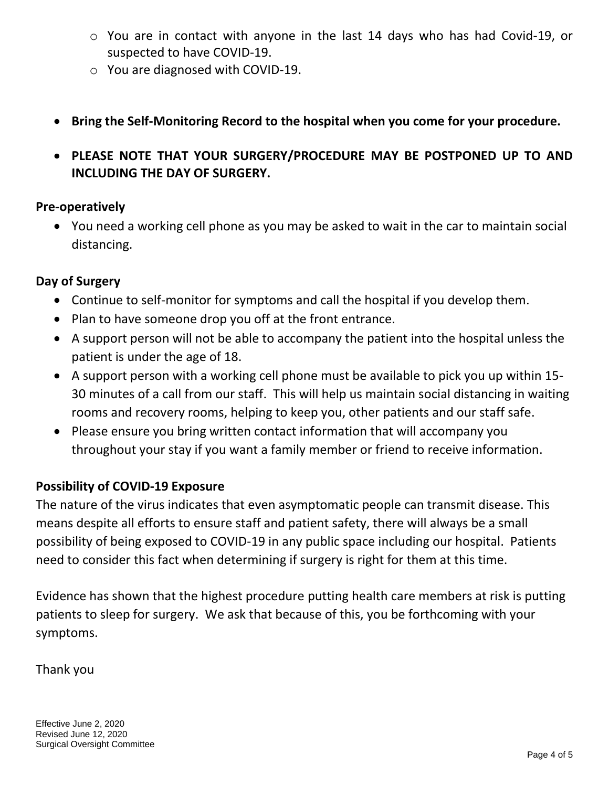- o You are in contact with anyone in the last 14 days who has had Covid-19, or suspected to have COVID-19.
- o You are diagnosed with COVID-19.
- **Bring the Self-Monitoring Record to the hospital when you come for your procedure.**
- **PLEASE NOTE THAT YOUR SURGERY/PROCEDURE MAY BE POSTPONED UP TO AND INCLUDING THE DAY OF SURGERY.**

### **Pre-operatively**

 You need a working cell phone as you may be asked to wait in the car to maintain social distancing.

# **Day of Surgery**

- Continue to self-monitor for symptoms and call the hospital if you develop them.
- Plan to have someone drop you off at the front entrance.
- A support person will not be able to accompany the patient into the hospital unless the patient is under the age of 18.
- A support person with a working cell phone must be available to pick you up within 15- 30 minutes of a call from our staff. This will help us maintain social distancing in waiting rooms and recovery rooms, helping to keep you, other patients and our staff safe.
- Please ensure you bring written contact information that will accompany you throughout your stay if you want a family member or friend to receive information.

# **Possibility of COVID-19 Exposure**

The nature of the virus indicates that even asymptomatic people can transmit disease. This means despite all efforts to ensure staff and patient safety, there will always be a small possibility of being exposed to COVID-19 in any public space including our hospital. Patients need to consider this fact when determining if surgery is right for them at this time.

Evidence has shown that the highest procedure putting health care members at risk is putting patients to sleep for surgery. We ask that because of this, you be forthcoming with your symptoms.

### Thank you